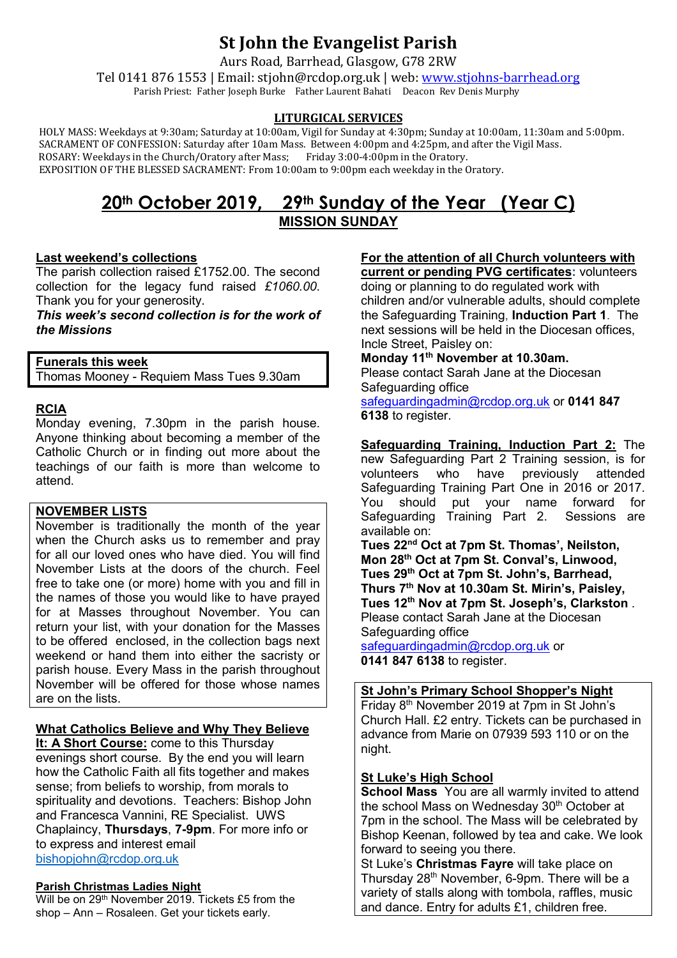# **St John the Evangelist Parish**

Aurs Road, Barrhead, Glasgow, G78 2RW

Tel 0141 876 1553 | Email: stjohn@rcdop.org.uk | web: [www.stjohns-barrhead.org](http://www.stjohns-barrhead.org/) Parish Priest: Father Joseph Burke Father Laurent Bahati Deacon Rev Denis Murphy

### **LITURGICAL SERVICES**

 HOLY MASS: Weekdays at 9:30am; Saturday at 10:00am, Vigil for Sunday at 4:30pm; Sunday at 10:00am, 11:30am and 5:00pm. SACRAMENT OF CONFESSION: Saturday after 10am Mass. Between 4:00pm and 4:25pm, and after the Vigil Mass. ROSARY: Weekdays in the Church/Oratory after Mass; Friday 3:00-4:00pm in the Oratory. EXPOSITION OF THE BLESSED SACRAMENT: From 10:00am to 9:00pm each weekday in the Oratory.

### **20th October 2019, 29th Sunday of the Year (Year C) MISSION SUNDAY**

### **Last weekend's collections**

The parish collection raised £1752.00. The second collection for the legacy fund raised *£1060.00*. Thank you for your generosity.

*This week's second collection is for the work of the Missions*

**Funerals this week** Thomas Mooney - Requiem Mass Tues 9.30am

### **RCIA**

Monday evening, 7.30pm in the parish house. Anyone thinking about becoming a member of the Catholic Church or in finding out more about the teachings of our faith is more than welcome to attend.

### **NOVEMBER LISTS**

November is traditionally the month of the year when the Church asks us to remember and pray for all our loved ones who have died. You will find November Lists at the doors of the church. Feel free to take one (or more) home with you and fill in the names of those you would like to have prayed for at Masses throughout November. You can return your list, with your donation for the Masses to be offered enclosed, in the collection bags next weekend or hand them into either the sacristy or parish house. Every Mass in the parish throughout November will be offered for those whose names are on the lists.

### **What Catholics Believe and Why They Believe**

**It: A Short Course:** come to this Thursday evenings short course. By the end you will learn how the Catholic Faith all fits together and makes sense; from beliefs to worship, from morals to spirituality and devotions. Teachers: Bishop John and Francesca Vannini, RE Specialist. UWS Chaplaincy, **Thursdays**, **7-9pm**. For more info or to express and interest email [bishopjohn@rcdop.org.uk](mailto:bishopjohn@rcdop.org.uk)

#### **Parish Christmas Ladies Night**

Will be on 29<sup>th</sup> November 2019. Tickets £5 from the shop – Ann – Rosaleen. Get your tickets early.

## **For the attention of all Church volunteers with**

**current or pending PVG certificates:** volunteers doing or planning to do regulated work with children and/or vulnerable adults, should complete the Safeguarding Training, **Induction Part 1**. The next sessions will be held in the Diocesan offices, Incle Street, Paisley on:

**Monday 11th November at 10.30am.**  Please contact Sarah Jane at the Diocesan Safeguarding office [safeguardingadmin@rcdop.org.uk](mailto:safeguardingadmin@rcdop.org.uk) or **0141 847** 

**6138** to register.

**Safeguarding Training, Induction Part 2:** The new Safeguarding Part 2 Training session, is for<br>volunteers who have previously attended have previously attended Safeguarding Training Part One in 2016 or 2017. You should put your name forward for<br>Safeguarding Training Part 2. Sessions are Safeguarding Training Part 2. available on:

**Tues 22nd Oct at 7pm St. Thomas', Neilston, Mon 28th Oct at 7pm St. Conval's, Linwood, Tues 29th Oct at 7pm St. John's, Barrhead, Thurs 7th Nov at 10.30am St. Mirin's, Paisley, Tues 12th Nov at 7pm St. Joseph's, Clarkston** . Please contact Sarah Jane at the Diocesan Safeguarding office

[safeguardingadmin@rcdop.org.uk](mailto:safeguardingadmin@rcdop.org.uk) or **0141 847 6138** to register.

### **St John's Primary School Shopper's Night**

Friday 8th November 2019 at 7pm in St John's Church Hall. £2 entry. Tickets can be purchased in advance from Marie on 07939 593 110 or on the night.

#### **St Luke's High School**

**School Mass** You are all warmly invited to attend the school Mass on Wednesday 30<sup>th</sup> October at 7pm in the school. The Mass will be celebrated by Bishop Keenan, followed by tea and cake. We look forward to seeing you there.

St Luke's **Christmas Fayre** will take place on Thursday 28th November, 6-9pm. There will be a variety of stalls along with tombola, raffles, music and dance. Entry for adults £1, children free.